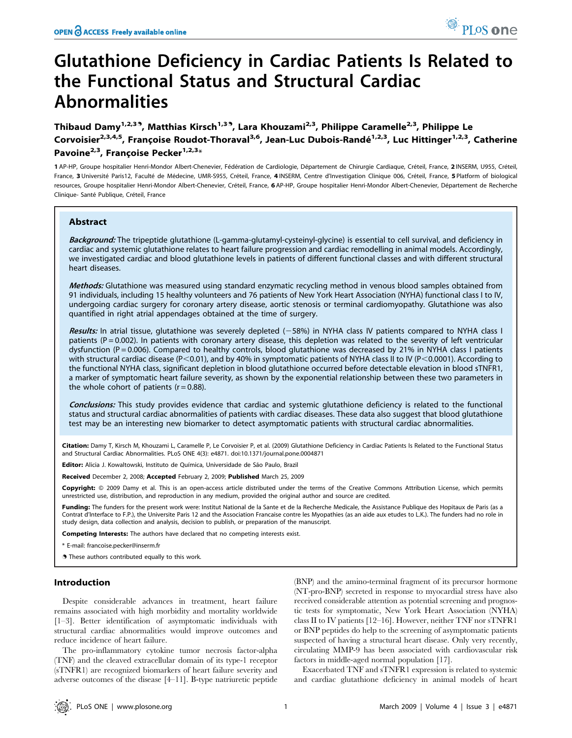# Glutathione Deficiency in Cardiac Patients Is Related to the Functional Status and Structural Cardiac Abnormalities

Thibaud Damy<sup>1,2,33</sup>, Matthias Kirsch<sup>1,33</sup>, Lara Khouzami<sup>2,3</sup>, Philippe Caramelle<sup>2,3</sup>, Philippe Le Corvoisier<sup>2,3,4,5</sup>, Françoise Roudot-Thoraval<sup>3,6</sup>, Jean-Luc Dubois-Randé<sup>1,2,3</sup>, Luc Hittinger<sup>1,2,3</sup>, Catherine Pavoine<sup>2,3</sup>, Françoise Pecker<sup>1,2,3</sup>\*

1 AP-HP, Groupe hospitalier Henri-Mondor Albert-Chenevier, Fédération de Cardiologie, Département de Chirurgie Cardiaque, Créteil, France, 2 INSERM, U955, Créteil, France, 3 Université Paris12, Faculté de Médecine, UMR-S955, Créteil, France, 4 INSERM, Centre d'Investigation Clinique 006, Créteil, France, 5 Platform of biological resources, Groupe hospitalier Henri-Mondor Albert-Chenevier, Créteil, France, 6 AP-HP, Groupe hospitalier Henri-Mondor Albert-Chenevier, Département de Recherche Clinique- Santé Publique, Créteil, France

## Abstract

Background: The tripeptide glutathione (L-gamma-glutamyl-cysteinyl-glycine) is essential to cell survival, and deficiency in cardiac and systemic glutathione relates to heart failure progression and cardiac remodelling in animal models. Accordingly, we investigated cardiac and blood glutathione levels in patients of different functional classes and with different structural heart diseases.

Methods: Glutathione was measured using standard enzymatic recycling method in venous blood samples obtained from 91 individuals, including 15 healthy volunteers and 76 patients of New York Heart Association (NYHA) functional class I to IV, undergoing cardiac surgery for coronary artery disease, aortic stenosis or terminal cardiomyopathy. Glutathione was also quantified in right atrial appendages obtained at the time of surgery.

Results: In atrial tissue, glutathione was severely depleted (-58%) in NYHA class IV patients compared to NYHA class I patients (P = 0.002). In patients with coronary artery disease, this depletion was related to the severity of left ventricular dysfunction  $(P = 0.006)$ . Compared to healthy controls, blood glutathione was decreased by 21% in NYHA class I patients with structural cardiac disease (P<0.01), and by 40% in symptomatic patients of NYHA class II to IV (P<0.0001). According to the functional NYHA class, significant depletion in blood glutathione occurred before detectable elevation in blood sTNFR1, a marker of symptomatic heart failure severity, as shown by the exponential relationship between these two parameters in the whole cohort of patients  $(r = 0.88)$ .

Conclusions: This study provides evidence that cardiac and systemic glutathione deficiency is related to the functional status and structural cardiac abnormalities of patients with cardiac diseases. These data also suggest that blood glutathione test may be an interesting new biomarker to detect asymptomatic patients with structural cardiac abnormalities.

Citation: Damy T, Kirsch M, Khouzami L, Caramelle P, Le Corvoisier P, et al. (2009) Glutathione Deficiency in Cardiac Patients Is Related to the Functional Status and Structural Cardiac Abnormalities. PLoS ONE 4(3): e4871. doi:10.1371/journal.pone.0004871

Editor: Alicia J. Kowaltowski, Instituto de Química, Universidade de São Paulo, Brazil

Received December 2, 2008; Accepted February 2, 2009; Published March 25, 2009

Copyright: @ 2009 Damy et al. This is an open-access article distributed under the terms of the Creative Commons Attribution License, which permits unrestricted use, distribution, and reproduction in any medium, provided the original author and source are credited.

Funding: The funders for the present work were: Institut National de la Sante et de la Recherche Medicale, the Assistance Publique des Hopitaux de Paris (as a Contrat d'Interface to F.P.), the Universite Paris 12 and the Association Francaise contre les Myopathies (as an aide aux etudes to L.K.). The funders had no role in study design, data collection and analysis, decision to publish, or preparation of the manuscript.

Competing Interests: The authors have declared that no competing interests exist.

\* E-mail: francoise.pecker@inserm.fr

. These authors contributed equally to this work.

## Introduction

Despite considerable advances in treatment, heart failure remains associated with high morbidity and mortality worldwide [1–3]. Better identification of asymptomatic individuals with structural cardiac abnormalities would improve outcomes and reduce incidence of heart failure.

The pro-inflammatory cytokine tumor necrosis factor-alpha (TNF) and the cleaved extracellular domain of its type-1 receptor (sTNFR1) are recognized biomarkers of heart failure severity and adverse outcomes of the disease [4–11]. B-type natriuretic peptide

(BNP) and the amino-terminal fragment of its precursor hormone (NT-pro-BNP) secreted in response to myocardial stress have also received considerable attention as potential screening and prognostic tests for symptomatic, New York Heart Association (NYHA) class II to IV patients [12–16]. However, neither TNF nor sTNFR1 or BNP peptides do help to the screening of asymptomatic patients suspected of having a structural heart disease. Only very recently, circulating MMP-9 has been associated with cardiovascular risk factors in middle-aged normal population [17].

Exacerbated TNF and sTNFR1 expression is related to systemic and cardiac glutathione deficiency in animal models of heart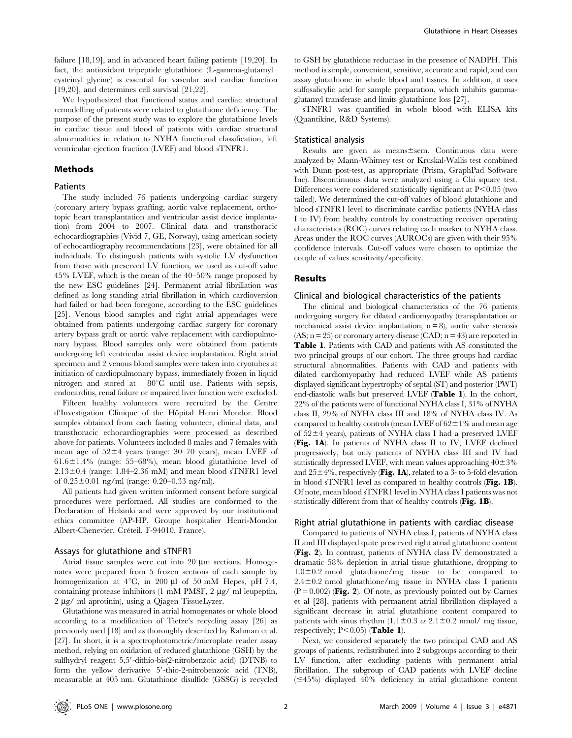failure [18,19], and in advanced heart failing patients [19,20]. In fact, the antioxidant tripeptide glutathione (L-gamma-glutamyl– cysteinyl–glycine) is essential for vascular and cardiac function [19,20], and determines cell survival [21,22].

We hypothesized that functional status and cardiac structural remodelling of patients were related to glutathione deficiency. The purpose of the present study was to explore the glutathione levels in cardiac tissue and blood of patients with cardiac structural abnormalities in relation to NYHA functional classification, left ventricular ejection fraction (LVEF) and blood sTNFR1.

## Methods

## Patients

The study included 76 patients undergoing cardiac surgery (coronary artery bypass grafting, aortic valve replacement, orthotopic heart transplantation and ventricular assist device implantation) from 2004 to 2007. Clinical data and transthoracic echocardiographies (Vivid 7, GE, Norway), using american society of echocardiography recommendations [23], were obtained for all individuals. To distinguish patients with systolic LV dysfunction from those with preserved LV function, we used as cut-off value 45% LVEF, which is the mean of the 40–50% range proposed by the new ESC guidelines [24]. Permanent atrial fibrillation was defined as long standing atrial fibrillation in which cardioversion had failed or had been foregone, according to the ESC guidelines [25]. Venous blood samples and right atrial appendages were obtained from patients undergoing cardiac surgery for coronary artery bypass graft or aortic valve replacement with cardiopulmonary bypass. Blood samples only were obtained from patients undergoing left ventricular assist device implantation. Right atrial specimen and 2 venous blood samples were taken into cryotubes at initiation of cardiopulmonary bypass, immediately frozen in liquid nitrogen and stored at  $-80^{\circ}$ C until use. Patients with sepsis, endocarditis, renal failure or impaired liver function were excluded.

Fifteen healthy volunteers were recruited by the Centre d'Investigation Clinique of the Hôpital Henri Mondor. Blood samples obtained from each fasting volunteer, clinical data, and transthoracic echocardiographies were processed as described above for patients. Volunteers included 8 males and 7 females with mean age of  $52\pm4$  years (range: 30–70 years), mean LVEF of  $61.6 \pm 1.4\%$  (range: 55–68%), mean blood glutathione level of  $2.13\pm0.4$  (range: 1.84–2.36 mM) and mean blood sTNFR1 level of  $0.25 \pm 0.01$  ng/ml (range: 0.20–0.33 ng/ml).

All patients had given written informed consent before surgical procedures were performed. All studies are conformed to the Declaration of Helsinki and were approved by our institutional ethics committee (AP-HP, Groupe hospitalier Henri-Mondor Albert-Chenevier, Créteil, F-94010, France).

#### Assays for glutathione and sTNFR1

Atrial tissue samples were cut into  $20 \mu m$  sections. Homogenates were prepared from 5 frozen sections of each sample by homogenization at  $4^{\circ}$ C, in 200 µl of 50 mM Hepes, pH 7.4, containing protease inhibitors  $(1 \text{ mM PMSF}, 2 \mu g / \text{ ml } \text{leupeptin},$  $2 \mu g$  ml aprotinin), using a Qiagen TissueLyzer.

Glutathione was measured in atrial homogenates or whole blood according to a modification of Tietze's recycling assay [26] as previously used [18] and as thoroughly described by Rahman et al. [27]. In short, it is a spectrophotometric/microplate reader assay method, relying on oxidation of reduced glutathione (GSH) by the sulfhydryl reagent 5,5'-dithio-bis(2-nitrobenzoic acid) (DTNB) to form the yellow derivative  $5'$ -thio-2-nitrobenzoic acid (TNB), measurable at 405 nm. Glutathione disulfide (GSSG) is recycled to GSH by glutathione reductase in the presence of NADPH. This method is simple, convenient, sensitive, accurate and rapid, and can assay glutathione in whole blood and tissues. In addition, it uses sulfosalicylic acid for sample preparation, which inhibits gammaglutamyl transferase and limits glutathione loss [27].

sTNFR1 was quantified in whole blood with ELISA kits (Quantikine, R&D Systems).

#### Statistical analysis

Results are given as means $\pm$ sem. Continuous data were analyzed by Mann-Whitney test or Kruskal-Wallis test combined with Dunn post-test, as appropriate (Prism, GraphPad Software Inc). Discontinuous data were analyzed using a Chi square test. Differences were considered statistically significant at  $P<0.05$  (two tailed). We determined the cut-off values of blood glutathione and blood sTNFR1 level to discriminate cardiac patients (NYHA class I to IV) from healthy controls by constructing receiver operating characteristics (ROC) curves relating each marker to NYHA class. Areas under the ROC curves (AUROCs) are given with their 95% confidence intervals. Cut-off values were chosen to optimize the couple of values sensitivity/specificity.

## Results

#### Clinical and biological characteristics of the patients

The clinical and biological characteristics of the 76 patients undergoing surgery for dilated cardiomyopathy (transplantation or mechanical assist device implantation;  $n = 8$ ), aortic valve stenosis  $(AS; n = 25)$  or coronary artery disease  $(CAD; n = 43)$  are reported in Table 1. Patients with CAD and patients with AS constituted the two principal groups of our cohort. The three groups had cardiac structural abnormalities. Patients with CAD and patients with dilated cardiomyopathy had reduced LVEF while AS patients displayed significant hypertrophy of septal (ST) and posterior (PWT) end-diastolic walls but preserved LVEF (Table 1). In the cohort, 22% of the patients were of functional NYHA class I, 31% of NYHA class II, 29% of NYHA class III and 18% of NYHA class IV. As compared to healthy controls (mean LVEF of  $62 \pm 1\%$  and mean age of  $52\pm4$  years), patients of NYHA class I had a preserved LVEF (Fig. 1A). In patients of NYHA class II to IV, LVEF declined progressively, but only patients of NYHA class III and IV had statistically depressed LVEF, with mean values approaching  $40\pm3\%$ and  $25\pm4\%$ , respectively (Fig. 1A), related to a 3- to 5-fold elevation in blood sTNFR1 level as compared to healthy controls (Fig. 1B). Of note, mean blood sTNFR1 level in NYHA class I patients was not statistically different from that of healthy controls (Fig. 1B).

#### Right atrial glutathione in patients with cardiac disease

Compared to patients of NYHA class I, patients of NYHA class II and III displayed quite preserved right atrial glutathione content (Fig. 2). In contrast, patients of NYHA class IV demonstrated a dramatic 58% depletion in atrial tissue glutathione, dropping to  $1.0\pm0.2$  nmol glutathione/mg tissue to be compared to  $2.4\pm0.2$  nmol glutathione/mg tissue in NYHA class I patients  $(P = 0.002)$  (Fig. 2). Of note, as previously pointed out by Carnes et al [28], patients with permanent atrial fibrillation displayed a significant decrease in atrial glutathione content compared to patients with sinus rhythm  $(1.1 \pm 0.3 \text{ vs } 2.1 \pm 0.2 \text{ nmol/mg})$  tissue, respectively;  $P<0.05$ ) (Table 1).

Next, we considered separately the two principal CAD and AS groups of patients, redistributed into 2 subgroups according to their LV function, after excluding patients with permanent atrial fibrillation. The subgroup of CAD patients with LVEF decline  $(\leq 45\%)$  displayed 40% deficiency in atrial glutathione content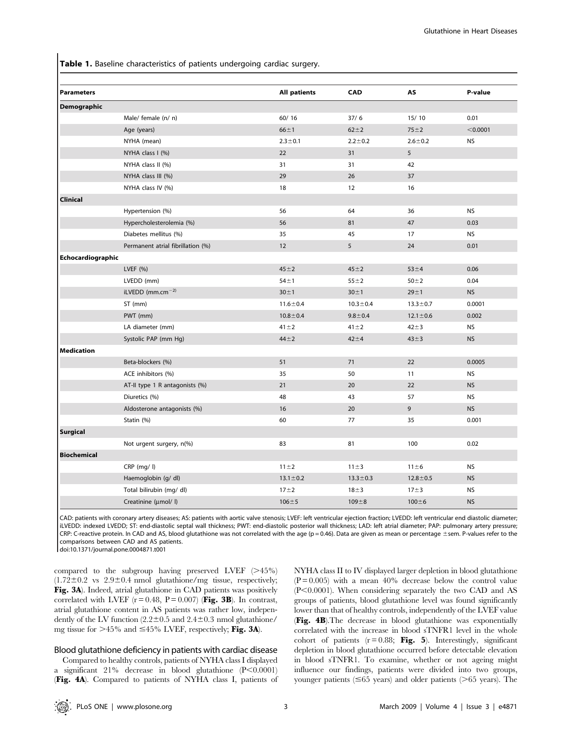Table 1. Baseline characteristics of patients undergoing cardiac surgery.

| <b>Parameters</b>  |                                   | All patients   | CAD            | <b>AS</b>      | P-value   |
|--------------------|-----------------------------------|----------------|----------------|----------------|-----------|
| <b>Demographic</b> |                                   |                |                |                |           |
|                    | Male/ female (n/ n)               | 60/16          | 37/6           | 15/10          | 0.01      |
|                    | Age (years)                       | $66 + 1$       | $62 + 2$       | $75 \pm 2$     | < 0.0001  |
|                    | NYHA (mean)                       | $2.3 \pm 0.1$  | $2.2 + 0.2$    | $2.6 + 0.2$    | <b>NS</b> |
|                    | NYHA class I (%)                  | 22             | 31             | 5              |           |
|                    | NYHA class II (%)                 | 31             | 31             | 42             |           |
|                    | NYHA class III (%)                | 29             | 26             | 37             |           |
|                    | NYHA class IV (%)                 | 18             | 12             | 16             |           |
| <b>Clinical</b>    |                                   |                |                |                |           |
|                    | Hypertension (%)                  | 56             | 64             | 36             | <b>NS</b> |
|                    | Hypercholesterolemia (%)          | 56             | 81             | 47             | 0.03      |
|                    | Diabetes mellitus (%)             | 35             | 45             | 17             | <b>NS</b> |
|                    | Permanent atrial fibrillation (%) | 12             | 5              | 24             | 0.01      |
| Echocardiographic  |                                   |                |                |                |           |
|                    | LVEF (%)                          | $45 + 2$       | $45 + 2$       | $53 + 4$       | 0.06      |
|                    | LVEDD (mm)                        | $54 \pm 1$     | $55 + 2$       | $50 \pm 2$     | 0.04      |
|                    | iLVEDD ( $mm.cm^{-2}$ )           | $30 \pm 1$     | $30 \pm 1$     | $29 + 1$       | <b>NS</b> |
|                    | ST (mm)                           | $11.6 \pm 0.4$ | $10.3 \pm 0.4$ | $13.3 \pm 0.7$ | 0.0001    |
|                    | PWT (mm)                          | $10.8 + 0.4$   | $9.8 + 0.4$    | $12.1 \pm 0.6$ | 0.002     |
|                    | LA diameter (mm)                  | $41 + 2$       | $41 \pm 2$     | $42 + 3$       | <b>NS</b> |
|                    | Systolic PAP (mm Hg)              | $44 + 2$       | $42 + 4$       | $43 + 3$       | <b>NS</b> |
| <b>Medication</b>  |                                   |                |                |                |           |
|                    | Beta-blockers (%)                 | 51             | 71             | 22             | 0.0005    |
|                    | ACE inhibitors (%)                | 35             | 50             | 11             | <b>NS</b> |
|                    | AT-II type 1 R antagonists (%)    | 21             | 20             | 22             | <b>NS</b> |
|                    | Diuretics (%)                     | 48             | 43             | 57             | <b>NS</b> |
|                    | Aldosterone antagonists (%)       | 16             | 20             | 9              | <b>NS</b> |
|                    | Statin (%)                        | 60             | 77             | 35             | 0.001     |
| <b>Surgical</b>    |                                   |                |                |                |           |
|                    | Not urgent surgery, n(%)          | 83             | 81             | 100            | 0.02      |
| <b>Biochemical</b> |                                   |                |                |                |           |
|                    | $CRP$ (mg/ $I)$                   | $11 + 2$       | $11 \pm 3$     | $11 \pm 6$     | <b>NS</b> |
|                    | Haemoglobin (g/ dl)               | $13.1 \pm 0.2$ | $13.3 \pm 0.3$ | $12.8 \pm 0.5$ | <b>NS</b> |
|                    | Total bilirubin (mg/ dl)          | $17 + 2$       | $18 \pm 3$     | $17 + 3$       | <b>NS</b> |
|                    | Creatinine (µmol/ l)              | $106 + 5$      | $109 + 8$      | $100 + 6$      | <b>NS</b> |

CAD: patients with coronary artery diseases; AS: patients with aortic valve stenosis; LVEF: left ventricular ejection fraction; LVEDD: left ventricular end diastolic diameter; iLVEDD: indexed LVEDD; ST: end-diastolic septal wall thickness; PWT: end-diastolic posterior wall thickness; LAD: left atrial diameter; PAP: pulmonary artery pressure; CRP: C-reactive protein. In CAD and AS, blood glutathione was not correlated with the age (p = 0.46). Data are given as mean or percentage  $\pm$ sem. P-values refer to the comparisons between CAD and AS patients.

doi:10.1371/journal.pone.0004871.t001

compared to the subgroup having preserved LVEF  $(>\!\!45\%)$  $(1.72\pm0.2 \text{ vs } 2.9\pm0.4 \text{ nmol}$  glutathione/mg tissue, respectively; Fig. 3A). Indeed, atrial glutathione in CAD patients was positively correlated with LVEF  $(r = 0.48, P = 0.007)$  (Fig. 3B). In contrast, atrial glutathione content in AS patients was rather low, independently of the LV function  $(2.2\pm0.5 \text{ and } 2.4\pm0.3 \text{ nmol}$  glutathione/ mg tissue for  $>45\%$  and  $\leq 45\%$  LVEF, respectively; Fig. 3A).

## Blood glutathione deficiency in patients with cardiac disease

Compared to healthy controls, patients of NYHA class I displayed a significant  $21\%$  decrease in blood glutathione (P<0.0001) (Fig. 4A). Compared to patients of NYHA class I, patients of NYHA class II to IV displayed larger depletion in blood glutathione  $(P = 0.005)$  with a mean 40% decrease below the control value  $(P<0.0001)$ . When considering separately the two CAD and AS groups of patients, blood glutathione level was found significantly lower than that of healthy controls, independently of the LVEF value (Fig. 4B).The decrease in blood glutathione was exponentially correlated with the increase in blood sTNFR1 level in the whole cohort of patients  $(r=0.88;$  Fig. 5). Interestingly, significant depletion in blood glutathione occurred before detectable elevation in blood sTNFR1. To examine, whether or not ageing might influence our findings, patients were divided into two groups, younger patients ( $\leq 65$  years) and older patients ( $> 65$  years). The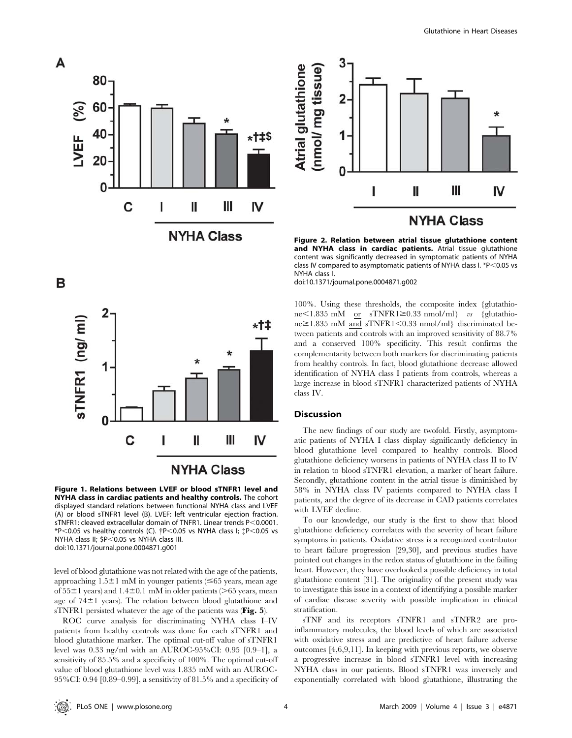

B



Figure 1. Relations between LVEF or blood sTNFR1 level and NYHA class in cardiac patients and healthy controls. The cohort displayed standard relations between functional NYHA class and LVEF (A) or blood sTNFR1 level (B). LVEF: left ventricular ejection fraction. sTNFR1: cleaved extracellular domain of TNFR1. Linear trends P<0.0001. \*P,0.05 vs healthy controls (C). {P,0.05 vs NYHA class I; *{*P,0.05 vs NYHA class II: \$P<0.05 vs NYHA class III. doi:10.1371/journal.pone.0004871.g001

level of blood glutathione was not related with the age of the patients, approaching  $1.5\pm1$  mM in younger patients ( $\leq 65$  years, mean age of  $55\pm1$  years) and  $1.4\pm0.1$  mM in older patients ( $>65$  years, mean age of  $74\pm1$  years). The relation between blood glutathione and sTNFR1 persisted whatever the age of the patients was (Fig. 5).

ROC curve analysis for discriminating NYHA class I–IV patients from healthy controls was done for each sTNFR1 and blood glutathione marker. The optimal cut-off value of sTNFR1 level was 0.33 ng/ml with an AUROC-95%CI: 0.95 [0.9–1], a sensitivity of 85.5% and a specificity of 100%. The optimal cut-off value of blood glutathione level was 1.835 mM with an AUROC-95%CI: 0.94 [0.89–0.99], a sensitivity of 81.5% and a specificity of



Figure 2. Relation between atrial tissue glutathione content and NYHA class in cardiac patients. Atrial tissue glutathione content was significantly decreased in symptomatic patients of NYHA class IV compared to asymptomatic patients of NYHA class I. \*P<0.05 vs NYHA class I.

doi:10.1371/journal.pone.0004871.g002

100%. Using these thresholds, the composite index {glutathione<1.835 mM or sTNFR1 $\geq$ 0.33 nmol/ml} vs {glutathio $ne \ge 1.835$  mM and sTNFR1<0.33 nmol/ml} discriminated between patients and controls with an improved sensitivity of 88.7% and a conserved 100% specificity. This result confirms the complementarity between both markers for discriminating patients from healthy controls. In fact, blood glutathione decrease allowed identification of NYHA class I patients from controls, whereas a large increase in blood sTNFR1 characterized patients of NYHA class IV.

## **Discussion**

The new findings of our study are twofold. Firstly, asymptomatic patients of NYHA I class display significantly deficiency in blood glutathione level compared to healthy controls. Blood glutathione deficiency worsens in patients of NYHA class II to IV in relation to blood sTNFR1 elevation, a marker of heart failure. Secondly, glutathione content in the atrial tissue is diminished by 58% in NYHA class IV patients compared to NYHA class I patients, and the degree of its decrease in CAD patients correlates with LVEF decline.

To our knowledge, our study is the first to show that blood glutathione deficiency correlates with the severity of heart failure symptoms in patients. Oxidative stress is a recognized contributor to heart failure progression [29,30], and previous studies have pointed out changes in the redox status of glutathione in the failing heart. However, they have overlooked a possible deficiency in total glutathione content [31]. The originality of the present study was to investigate this issue in a context of identifying a possible marker of cardiac disease severity with possible implication in clinical stratification.

sTNF and its receptors sTNFR1 and sTNFR2 are proinflammatory molecules, the blood levels of which are associated with oxidative stress and are predictive of heart failure adverse outcomes [4,6,9,11]. In keeping with previous reports, we observe a progressive increase in blood sTNFR1 level with increasing NYHA class in our patients. Blood sTNFR1 was inversely and exponentially correlated with blood glutathione, illustrating the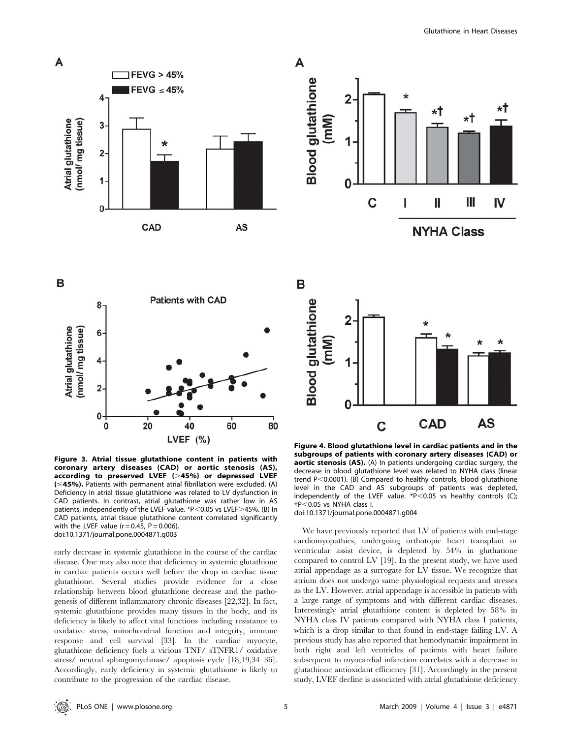

glutathione deficiency fuels a vicious TNF/ sTNFR1/ oxidative stress/ neutral sphingomyelinase/ apoptosis cycle [18,19,34–36]. Accordingly, early deficiency in systemic glutathione is likely to contribute to the progression of the cardiac disease.



C

Figure 4. Blood glutathione level in cardiac patients and in the

CAD

We have previously reported that LV of patients with end-stage cardiomyopathies, undergoing orthotopic heart transplant or ventricular assist device, is depleted by 54% in gluthatione compared to control LV [19]. In the present study, we have used atrial appendage as a surrogate for LV tissue. We recognize that atrium does not undergo same physiological requests and stresses as the LV. However, atrial appendage is accessible in patients with a large range of symptoms and with different cardiac diseases. Interestingly atrial glutathione content is depleted by 58% in NYHA class IV patients compared with NYHA class I patients, which is a drop similar to that found in end-stage failing LV. A previous study has also reported that hemodynamic impairment in both right and left ventricles of patients with heart failure subsequent to myocardial infarction correlates with a decrease in glutathione antioxidant efficiency [31]. Accordingly in the present study, LVEF decline is associated with atrial glutathione deficiency

CAD patients. In contrast, atrial glutathione was rather low in AS patients, independently of the LVEF value. \*P<0.05 vs LVEF>45%. (B) In CAD patients, atrial tissue glutathione content correlated significantly with the LVEF value ( $r = 0.45$ ,  $P = 0.006$ ).

LVEF  $(%)$ Figure 3. Atrial tissue glutathione content in patients with coronary artery diseases (CAD) or aortic stenosis (AS), according to preserved LVEF  $(>45%)$  or depressed LVEF  $( \leq$ 45%). Patients with permanent atrial fibrillation were excluded. (A) Deficiency in atrial tissue glutathione was related to LV dysfunction in

early decrease in systemic glutathione in the course of the cardiac disease. One may also note that deficiency in systemic glutathione in cardiac patients occurs well before the drop in cardiac tissue glutathione. Several studies provide evidence for a close relationship between blood glutathione decrease and the pathogenesis of different inflammatory chronic diseases [22,32]. In fact, systemic glutathione provides many tissues in the body, and its deficiency is likely to affect vital functions including resistance to oxidative stress, mitochondrial function and integrity, immune response and cell survival [33]. In the cardiac myocyte,

doi:10.1371/journal.pone.0004871.g003

A

Atrial glutathione nmol/mg tissue)

B

4

3

 $2 -$ 

 $1 -$ 

0



 $\exists$ FEVG > 45%

 $FEVG \leq 45\%$ 

∗

CAD

AS



A

B

**Blood glutathione** 

(mM)

Ω

 $\mathbf{r}$ 

**AS** 

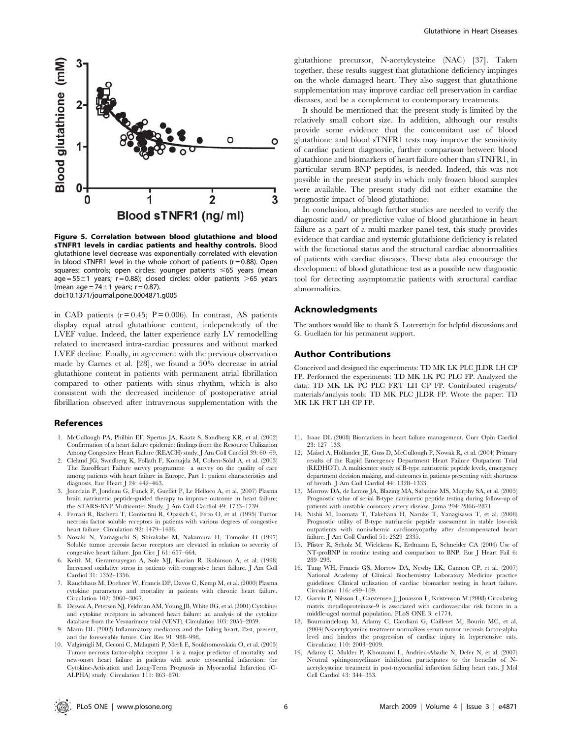

Figure 5. Correlation between blood glutathione and blood sTNFR1 levels in cardiac patients and healthy controls. Blood glutathione level decrease was exponentially correlated with elevation in blood sTNFR1 level in the whole cohort of patients ( $r = 0.88$ ). Open squares: controls; open circles: younger patients  $\leq 65$  years (mean age =  $55\pm1$  years; r = 0.88); closed circles: older patients > 65 years (mean age = 74 $\pm$ 1 years; r = 0.87). doi:10.1371/journal.pone.0004871.g005

in CAD patients  $(r = 0.45; P = 0.006)$ . In contrast, AS patients display equal atrial glutathione content, independently of the LVEF value. Indeed, the latter experience early LV remodelling related to increased intra-cardiac pressures and without marked LVEF decline. Finally, in agreement with the previous observation made by Carnes et al. [28], we found a 50% decrease in atrial glutathione content in patients with permanent atrial fibrillation compared to other patients with sinus rhythm, which is also consistent with the decreased incidence of postoperative atrial fibrillation observed after intravenous supplementation with the

## References

- 1. McCullough PA, Philbin EF, Spertus JA, Kaatz S, Sandberg KR, et al. (2002) Confirmation of a heart failure epidemic: findings from the Resource Utilization Among Congestive Heart Failure (REACH) study. J Am Coll Cardiol 39: 60–69.
- 2. Cleland JG, Swedberg K, Follath F, Komajda M, Cohen-Solal A, et al. (2003) The EuroHeart Failure survey programme– a survey on the quality of care among patients with heart failure in Europe. Part 1: patient characteristics and diagnosis. Eur Heart J 24: 442–463.
- 3. Jourdain P, Jondeau G, Funck F, Gueffet P, Le Helloco A, et al. (2007) Plasma brain natriuretic peptide-guided therapy to improve outcome in heart failure: the STARS-BNP Multicenter Study. J Am Coll Cardiol 49: 1733–1739.
- 4. Ferrari R, Bachetti T, Confortini R, Opasich C, Febo O, et al. (1995) Tumor necrosis factor soluble receptors in patients with various degrees of congestive heart failure. Circulation 92: 1479–1486.
- 5. Nozaki N, Yamaguchi S, Shirakabe M, Nakamura H, Tomoike H (1997) Soluble tumor necrosis factor receptors are elevated in relation to severity of congestive heart failure. Jpn Circ J 61: 657–664.
- 6. Keith M, Geranmayegan A, Sole MJ, Kurian R, Robinson A, et al. (1998) Increased oxidative stress in patients with congestive heart failure. J Am Coll Cardiol 31: 1352–1356.
- 7. Rauchhaus M, Doehner W, Francis DP, Davos C, Kemp M, et al. (2000) Plasma cytokine parameters and mortality in patients with chronic heart failure. Circulation 102: 3060–3067.
- 8. Deswal A, Petersen NJ, Feldman AM, Young JB, White BG, et al. (2001) Cytokines and cytokine receptors in advanced heart failure: an analysis of the cytokine database from the Vesnarinone trial (VEST). Circulation 103: 2055–2059.
- 9. Mann DL (2002) Inflammatory mediators and the failing heart. Past, present, and the foreseeable future. Circ Res 91: 988–998.
- 10. Valgimigli M, Ceconi C, Malagutti P, Merli E, Soukhomovskaia O, et al. (2005) Tumor necrosis factor-alpha receptor 1 is a major predictor of mortality and new-onset heart failure in patients with acute myocardial infarction: the Cytokine-Activation and Long-Term Prognosis in Myocardial Infarction (C-ALPHA) study. Circulation 111: 863–870.

glutathione precursor, N-acetylcysteine (NAC) [37]. Taken together, these results suggest that glutathione deficiency impinges on the whole damaged heart. They also suggest that glutathione supplementation may improve cardiac cell preservation in cardiac diseases, and be a complement to contemporary treatments.

It should be mentioned that the present study is limited by the relatively small cohort size. In addition, although our results provide some evidence that the concomitant use of blood glutathione and blood sTNFR1 tests may improve the sensitivity of cardiac patient diagnostic, further comparison between blood glutathione and biomarkers of heart failure other than sTNFR1, in particular serum BNP peptides, is needed. Indeed, this was not possible in the present study in which only frozen blood samples were available. The present study did not either examine the prognostic impact of blood glutathione.

In conclusion, although further studies are needed to verify the diagnostic and/ or predictive value of blood glutathione in heart failure as a part of a multi marker panel test, this study provides evidence that cardiac and systemic glutathione deficiency is related with the functional status and the structural cardiac abnormalities of patients with cardiac diseases. These data also encourage the development of blood glutathione test as a possible new diagnostic tool for detecting asymptomatic patients with structural cardiac abnormalities.

## Acknowledgments

The authors would like to thank S. Lotersztajn for helpful discussions and G. Guellaën for his permanent support.

#### Author Contributions

Conceived and designed the experiments: TD MK LK PLC JLDR LH CP FP. Performed the experiments: TD MK LK PC PLC FP. Analyzed the data: TD MK LK PC PLC FRT LH CP FP. Contributed reagents/ materials/analysis tools: TD MK PLC JLDR FP. Wrote the paper: TD MK LK FRT LH CP FP.

- 11. Isaac DL (2008) Biomarkers in heart failure management. Curr Opin Cardiol 23: 127–133.
- 12. Maisel A, Hollander JE, Guss D, McCullough P, Nowak R, et al. (2004) Primary results of the Rapid Emergency Department Heart Failure Outpatient Trial (REDHOT). A multicenter study of B-type natriuretic peptide levels, emergency department decision making, and outcomes in patients presenting with shortness of breath. J Am Coll Cardiol 44: 1328–1333.
- 13. Morrow DA, de Lemos JA, Blazing MA, Sabatine MS, Murphy SA, et al. (2005) Prognostic value of serial B-type natriuretic peptide testing during follow-up of patients with unstable coronary artery disease. Jama 294: 2866–2871.
- 14. Nishii M, Inomata T, Takehana H, Naruke T, Yanagisawa T, et al. (2008) Prognostic utility of B-type natriuretic peptide assessment in stable low-risk outpatients with nonischemic cardiomyopathy after decompensated heart failure. J Am Coll Cardiol 51: 2329–2335.
- 15. Pfister R, Scholz M, Wielckens K, Erdmann E, Schneider CA (2004) Use of NT-proBNP in routine testing and comparison to BNP. Eur J Heart Fail 6: 289–293.
- 16. Tang WH, Francis GS, Morrow DA, Newby LK, Cannon CP, et al. (2007) National Academy of Clinical Biochemistry Laboratory Medicine practice guidelines: Clinical utilization of cardiac biomarker testing in heart failure. Circulation 116: e99–109.
- 17. Garvin P, Nilsson L, Carstensen J, Jonasson L, Kristenson M (2008) Circulating matrix metalloproteinase-9 is associated with cardiovascular risk factors in a middle-aged normal population. PLoS ONE 3: e1774.
- 18. Bourraindeloup M, Adamy C, Candiani G, Cailleret M, Bourin MC, et al. (2004) N-acetylcysteine treatment normalizes serum tumor necrosis factor-alpha level and hinders the progression of cardiac injury in hypertensive rats. Circulation 110: 2003–2009.
- 19. Adamy C, Mulder P, Khouzami L, Andrieu-Abadie N, Defer N, et al. (2007) Neutral sphingomyelinase inhibition participates to the benefits of Nacetylcysteine treatment in post-myocardial infarction failing heart rats. J Mol Cell Cardiol 43: 344–353.